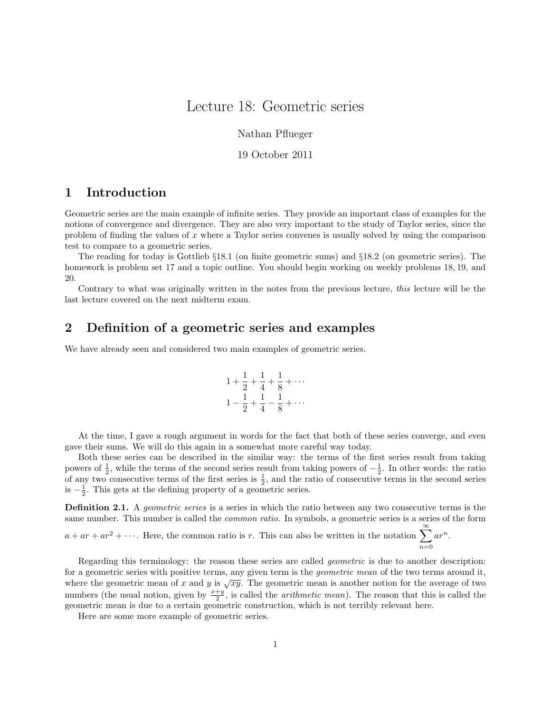## Lecture 18: Geometric series

Nathan Pflueger

19 October 2011

### 1 Introduction

Geometric series are the main example of infinite series. They provide an important class of examples for the notions of convergence and divergence. They are also very important to the study of Taylor series, since the problem of finding the values of x where a Taylor series convenes is usually solved by using the comparison test to compare to a geometric series.

The reading for today is Gottlieb §18.1 (on finite geometric sums) and §18.2 (on geometric series). The homework is problem set 17 and a topic outline. You should begin working on weekly problems 18, 19, and 20.

Contrary to what was originally written in the notes from the previous lecture, this lecture will be the last lecture covered on the next midterm exam.

# 2 Definition of a geometric series and examples

We have already seen and considered two main examples of geometric series.

$$
1 + \frac{1}{2} + \frac{1}{4} + \frac{1}{8} + \cdots
$$
  

$$
1 - \frac{1}{2} + \frac{1}{4} - \frac{1}{8} + \cdots
$$

At the time, I gave a rough argument in words for the fact that both of these series converge, and even gave their sums. We will do this again in a somewhat more careful way today.

Both these series can be described in the similar way: the terms of the first series result from taking powers of  $\frac{1}{2}$ , while the terms of the second series result from taking powers of  $-\frac{1}{2}$ . In other words: the ratio of any two consecutive terms of the first series is  $\frac{1}{2}$ , and the ratio of consecutive terms in the second series is  $-\frac{1}{2}$ . This gets at the defining property of a geometric series.

**Definition 2.1.** A *geometric series* is a series in which the ratio between any two consecutive terms is the same number. This number is called the *common ratio*. In symbols, a geometric series is a series of the form

 $a + ar + ar^2 + \cdots$ . Here, the common ratio is r. This can also be written in the notation  $\sum_{n=1}^{\infty} ar^n$ .  $n=0$ 

Regarding this terminology: the reason these series are called *geometric* is due to another description: for a geometric series with positive terms, any given term is the *geometric mean* of the two terms around it, where the geometric mean of x and y is  $\sqrt{xy}$ . The geometric mean is another notion for the average of two numbers (the usual notion, given by  $\frac{x+y}{2}$ , is called the *arithmetic mean*). The reason that this is called the geometric mean is due to a certain geometric construction, which is not terribly relevant here.

Here are some more example of geometric series.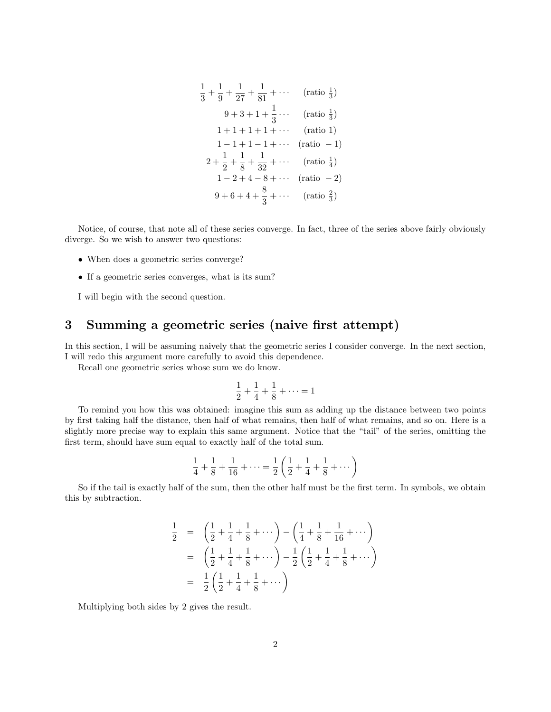$$
\frac{1}{3} + \frac{1}{9} + \frac{1}{27} + \frac{1}{81} + \cdots \qquad \text{(ratio } \frac{1}{3}\text{)}
$$
\n
$$
9 + 3 + 1 + \frac{1}{3} + \cdots \qquad \text{(ratio } \frac{1}{3}\text{)}
$$
\n
$$
1 + 1 + 1 + 1 + \cdots \qquad \text{(ratio 1)}
$$
\n
$$
1 - 1 + 1 - 1 + \cdots \qquad \text{(ratio - 1)}
$$
\n
$$
2 + \frac{1}{2} + \frac{1}{8} + \frac{1}{32} + \cdots \qquad \text{(ratio } \frac{1}{4}\text{)}
$$
\n
$$
1 - 2 + 4 - 8 + \cdots \qquad \text{(ratio - 2)}
$$
\n
$$
9 + 6 + 4 + \frac{8}{3} + \cdots \qquad \text{(ratio } \frac{2}{3}\text{)}
$$

Notice, of course, that note all of these series converge. In fact, three of the series above fairly obviously diverge. So we wish to answer two questions:

- When does a geometric series converge?
- If a geometric series converges, what is its sum?

I will begin with the second question.

## 3 Summing a geometric series (naive first attempt)

In this section, I will be assuming naively that the geometric series I consider converge. In the next section, I will redo this argument more carefully to avoid this dependence.

Recall one geometric series whose sum we do know.

$$
\frac{1}{2} + \frac{1}{4} + \frac{1}{8} + \dots = 1
$$

To remind you how this was obtained: imagine this sum as adding up the distance between two points by first taking half the distance, then half of what remains, then half of what remains, and so on. Here is a slightly more precise way to explain this same argument. Notice that the "tail" of the series, omitting the first term, should have sum equal to exactly half of the total sum.

$$
\frac{1}{4} + \frac{1}{8} + \frac{1}{16} + \dots = \frac{1}{2} \left( \frac{1}{2} + \frac{1}{4} + \frac{1}{8} + \dots \right)
$$

So if the tail is exactly half of the sum, then the other half must be the first term. In symbols, we obtain this by subtraction.

$$
\frac{1}{2} = \left(\frac{1}{2} + \frac{1}{4} + \frac{1}{8} + \cdots\right) - \left(\frac{1}{4} + \frac{1}{8} + \frac{1}{16} + \cdots\right)
$$
\n
$$
= \left(\frac{1}{2} + \frac{1}{4} + \frac{1}{8} + \cdots\right) - \frac{1}{2}\left(\frac{1}{2} + \frac{1}{4} + \frac{1}{8} + \cdots\right)
$$
\n
$$
= \frac{1}{2}\left(\frac{1}{2} + \frac{1}{4} + \frac{1}{8} + \cdots\right)
$$

Multiplying both sides by 2 gives the result.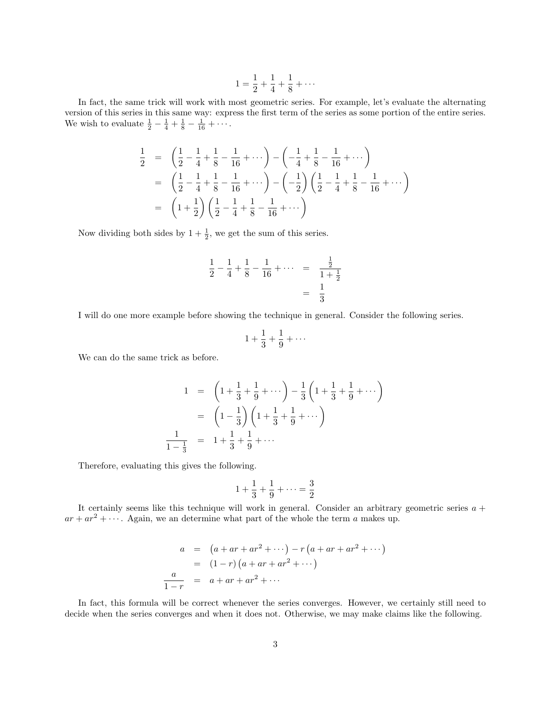$$
1 = \frac{1}{2} + \frac{1}{4} + \frac{1}{8} + \cdots
$$

In fact, the same trick will work with most geometric series. For example, let's evaluate the alternating version of this series in this same way: express the first term of the series as some portion of the entire series. We wish to evaluate  $\frac{1}{2} - \frac{1}{4} + \frac{1}{8} - \frac{1}{16} + \cdots$ .

$$
\frac{1}{2} = \left(\frac{1}{2} - \frac{1}{4} + \frac{1}{8} - \frac{1}{16} + \cdots\right) - \left(-\frac{1}{4} + \frac{1}{8} - \frac{1}{16} + \cdots\right)
$$
\n
$$
= \left(\frac{1}{2} - \frac{1}{4} + \frac{1}{8} - \frac{1}{16} + \cdots\right) - \left(-\frac{1}{2}\right)\left(\frac{1}{2} - \frac{1}{4} + \frac{1}{8} - \frac{1}{16} + \cdots\right)
$$
\n
$$
= \left(1 + \frac{1}{2}\right)\left(\frac{1}{2} - \frac{1}{4} + \frac{1}{8} - \frac{1}{16} + \cdots\right)
$$

Now dividing both sides by  $1 + \frac{1}{2}$ , we get the sum of this series.

$$
\frac{1}{2} - \frac{1}{4} + \frac{1}{8} - \frac{1}{16} + \dots = \frac{\frac{1}{2}}{1 + \frac{1}{2}}
$$

$$
= \frac{1}{3}
$$

I will do one more example before showing the technique in general. Consider the following series.

$$
1+\frac{1}{3}+\frac{1}{9}+\cdots
$$

We can do the same trick as before.

$$
1 = \left(1 + \frac{1}{3} + \frac{1}{9} + \cdots\right) - \frac{1}{3}\left(1 + \frac{1}{3} + \frac{1}{9} + \cdots\right)
$$
  
=  $\left(1 - \frac{1}{3}\right)\left(1 + \frac{1}{3} + \frac{1}{9} + \cdots\right)$   

$$
\frac{1}{1 - \frac{1}{3}} = 1 + \frac{1}{3} + \frac{1}{9} + \cdots
$$

Therefore, evaluating this gives the following.

$$
1 + \frac{1}{3} + \frac{1}{9} + \dots = \frac{3}{2}
$$

It certainly seems like this technique will work in general. Consider an arbitrary geometric series  $a +$  $ar + ar^2 + \cdots$ . Again, we an determine what part of the whole the term a makes up.

$$
a = (a + ar + ar^{2} + \cdots) - r (a + ar + ar^{2} + \cdots)
$$
  
= (1 - r) (a + ar + ar^{2} + \cdots)  

$$
\frac{a}{1 - r} = a + ar + ar^{2} + \cdots
$$

In fact, this formula will be correct whenever the series converges. However, we certainly still need to decide when the series converges and when it does not. Otherwise, we may make claims like the following.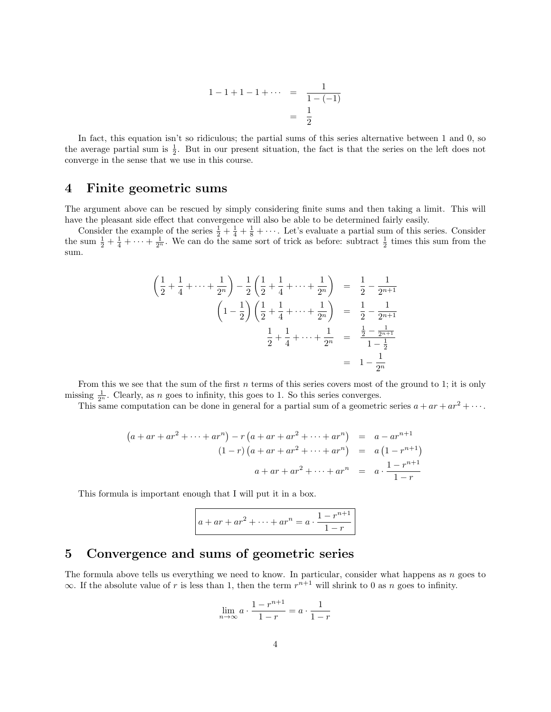$$
1 - 1 + 1 - 1 + \cdots = \frac{1}{1 - (-1)} \\
= \frac{1}{2}
$$

In fact, this equation isn't so ridiculous; the partial sums of this series alternative between 1 and 0, so the average partial sum is  $\frac{1}{2}$ . But in our present situation, the fact is that the series on the left does not converge in the sense that we use in this course.

#### 4 Finite geometric sums

The argument above can be rescued by simply considering finite sums and then taking a limit. This will have the pleasant side effect that convergence will also be able to be determined fairly easily.

Consider the example of the series  $\frac{1}{2} + \frac{1}{4} + \frac{1}{8} + \cdots$ . Let's evaluate a partial sum of this series. Consider the sum  $\frac{1}{2} + \frac{1}{4} + \cdots + \frac{1}{2^n}$ . We can do the same sort of trick as before: subtract  $\frac{1}{2}$  times this sum from the sum.

$$
\left(\frac{1}{2} + \frac{1}{4} + \dots + \frac{1}{2^n}\right) - \frac{1}{2}\left(\frac{1}{2} + \frac{1}{4} + \dots + \frac{1}{2^n}\right) = \frac{1}{2} - \frac{1}{2^{n+1}}
$$
\n
$$
\left(1 - \frac{1}{2}\right)\left(\frac{1}{2} + \frac{1}{4} + \dots + \frac{1}{2^n}\right) = \frac{1}{2} - \frac{1}{2^{n+1}}
$$
\n
$$
\frac{1}{2} + \frac{1}{4} + \dots + \frac{1}{2^n} = \frac{\frac{1}{2} - \frac{1}{2^{n+1}}}{1 - \frac{1}{2}}
$$
\n
$$
= 1 - \frac{1}{2^n}
$$

From this we see that the sum of the first  $n$  terms of this series covers most of the ground to 1; it is only missing  $\frac{1}{2^n}$ . Clearly, as n goes to infinity, this goes to 1. So this series converges.

This same computation can be done in general for a partial sum of a geometric series  $a + ar + ar^2 + \cdots$ .

$$
(a + ar + ar2 + \dots + arn) - r (a + ar + ar2 + \dots + arn) = a - arn+1
$$
  

$$
(1 - r) (a + ar + ar2 + \dots + arn) = a (1 - rn+1)
$$
  

$$
a + ar + ar2 + \dots + arn = a \cdot \frac{1 - r^{n+1}}{1 - r}
$$

This formula is important enough that I will put it in a box.

$$
a + ar + ar2 + \dots + arn = a \cdot \frac{1 - r^{n+1}}{1 - r}
$$

#### 5 Convergence and sums of geometric series

The formula above tells us everything we need to know. In particular, consider what happens as  $n$  goes to  $\infty$ . If the absolute value of r is less than 1, then the term  $r^{n+1}$  will shrink to 0 as n goes to infinity.

$$
\lim_{n \to \infty} a \cdot \frac{1 - r^{n+1}}{1 - r} = a \cdot \frac{1}{1 - r}
$$